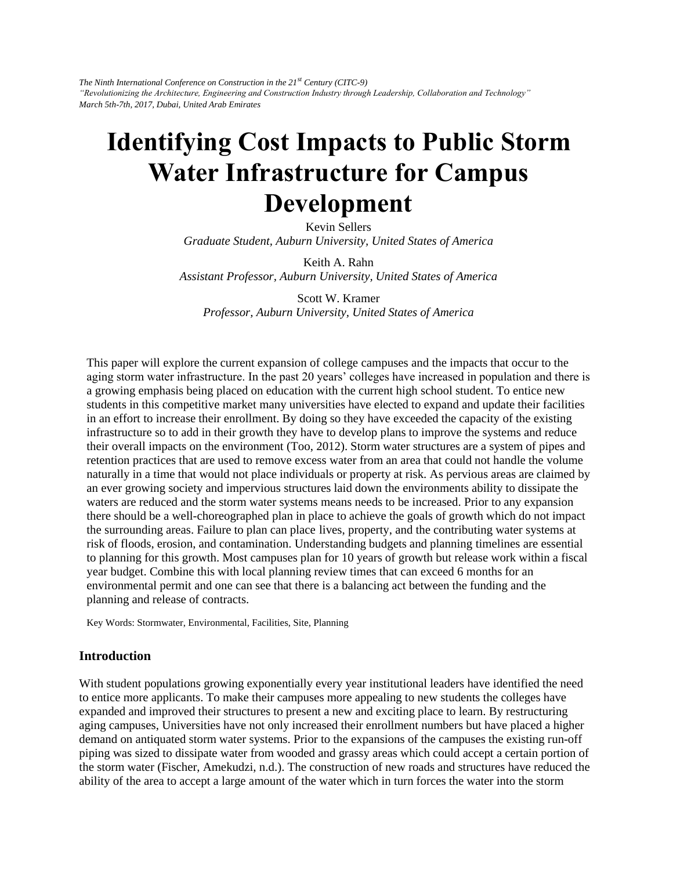*The Ninth International Conference on Construction in the 21st Century (CITC-9) "Revolutionizing the Architecture, Engineering and Construction Industry through Leadership, Collaboration and Technology" March 5th-7th, 2017, Dubai, United Arab Emirates* 

# **Identifying Cost Impacts to Public Storm Water Infrastructure for Campus Development**

Kevin Sellers *Graduate Student, Auburn University, United States of America* 

Keith A. Rahn *Assistant Professor, Auburn University, United States of America* 

Scott W. Kramer *Professor, Auburn University, United States of America* 

This paper will explore the current expansion of college campuses and the impacts that occur to the aging storm water infrastructure. In the past 20 years' colleges have increased in population and there is a growing emphasis being placed on education with the current high school student. To entice new students in this competitive market many universities have elected to expand and update their facilities in an effort to increase their enrollment. By doing so they have exceeded the capacity of the existing infrastructure so to add in their growth they have to develop plans to improve the systems and reduce their overall impacts on the environment (Too, 2012). Storm water structures are a system of pipes and retention practices that are used to remove excess water from an area that could not handle the volume naturally in a time that would not place individuals or property at risk. As pervious areas are claimed by an ever growing society and impervious structures laid down the environments ability to dissipate the waters are reduced and the storm water systems means needs to be increased. Prior to any expansion there should be a well-choreographed plan in place to achieve the goals of growth which do not impact the surrounding areas. Failure to plan can place lives, property, and the contributing water systems at risk of floods, erosion, and contamination. Understanding budgets and planning timelines are essential to planning for this growth. Most campuses plan for 10 years of growth but release work within a fiscal year budget. Combine this with local planning review times that can exceed 6 months for an environmental permit and one can see that there is a balancing act between the funding and the planning and release of contracts.

Key Words: Stormwater, Environmental, Facilities, Site, Planning

#### **Introduction**

With student populations growing exponentially every year institutional leaders have identified the need to entice more applicants. To make their campuses more appealing to new students the colleges have expanded and improved their structures to present a new and exciting place to learn. By restructuring aging campuses, Universities have not only increased their enrollment numbers but have placed a higher demand on antiquated storm water systems. Prior to the expansions of the campuses the existing run-off piping was sized to dissipate water from wooded and grassy areas which could accept a certain portion of the storm water (Fischer, Amekudzi, n.d.). The construction of new roads and structures have reduced the ability of the area to accept a large amount of the water which in turn forces the water into the storm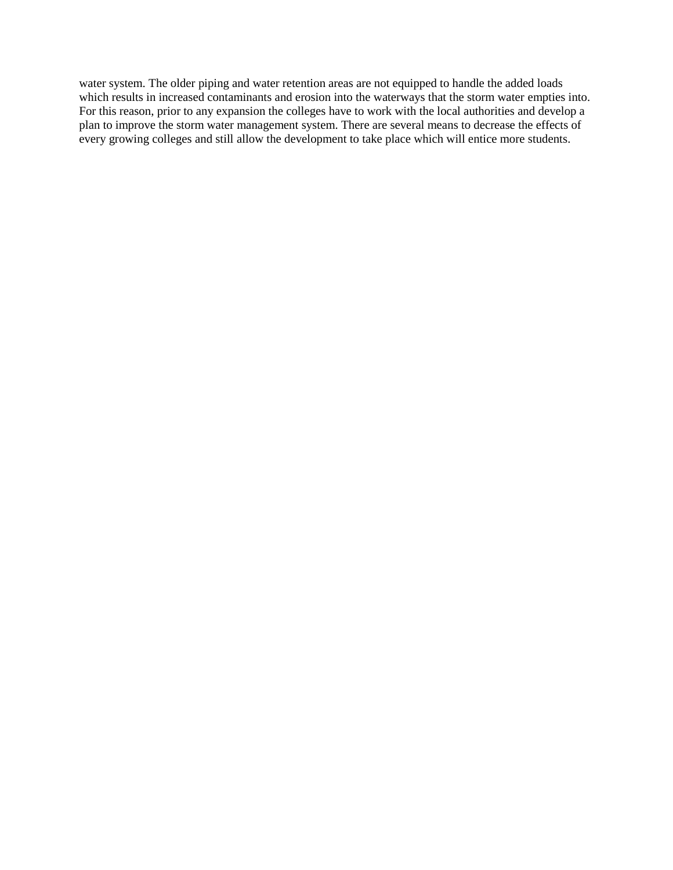water system. The older piping and water retention areas are not equipped to handle the added loads which results in increased contaminants and erosion into the waterways that the storm water empties into. For this reason, prior to any expansion the colleges have to work with the local authorities and develop a plan to improve the storm water management system. There are several means to decrease the effects of every growing colleges and still allow the development to take place which will entice more students.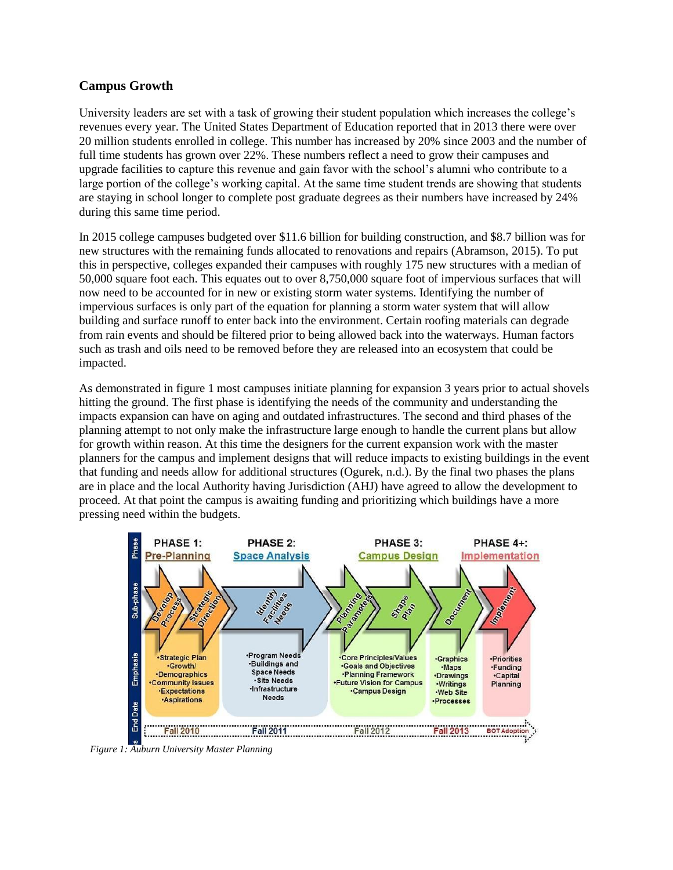## **Campus Growth**

University leaders are set with a task of growing their student population which increases the college's revenues every year. The United States Department of Education reported that in 2013 there were over 20 million students enrolled in college. This number has increased by 20% since 2003 and the number of full time students has grown over 22%. These numbers reflect a need to grow their campuses and upgrade facilities to capture this revenue and gain favor with the school's alumni who contribute to a large portion of the college's working capital. At the same time student trends are showing that students are staying in school longer to complete post graduate degrees as their numbers have increased by 24% during this same time period.

In 2015 college campuses budgeted over \$11.6 billion for building construction, and \$8.7 billion was for new structures with the remaining funds allocated to renovations and repairs (Abramson, 2015). To put this in perspective, colleges expanded their campuses with roughly 175 new structures with a median of 50,000 square foot each. This equates out to over 8,750,000 square foot of impervious surfaces that will now need to be accounted for in new or existing storm water systems. Identifying the number of impervious surfaces is only part of the equation for planning a storm water system that will allow building and surface runoff to enter back into the environment. Certain roofing materials can degrade from rain events and should be filtered prior to being allowed back into the waterways. Human factors such as trash and oils need to be removed before they are released into an ecosystem that could be impacted.

As demonstrated in figure 1 most campuses initiate planning for expansion 3 years prior to actual shovels hitting the ground. The first phase is identifying the needs of the community and understanding the impacts expansion can have on aging and outdated infrastructures. The second and third phases of the planning attempt to not only make the infrastructure large enough to handle the current plans but allow for growth within reason. At this time the designers for the current expansion work with the master planners for the campus and implement designs that will reduce impacts to existing buildings in the event that funding and needs allow for additional structures (Ogurek, n.d.). By the final two phases the plans are in place and the local Authority having Jurisdiction (AHJ) have agreed to allow the development to proceed. At that point the campus is awaiting funding and prioritizing which buildings have a more pressing need within the budgets.



*Figure 1: Auburn University Master Planning*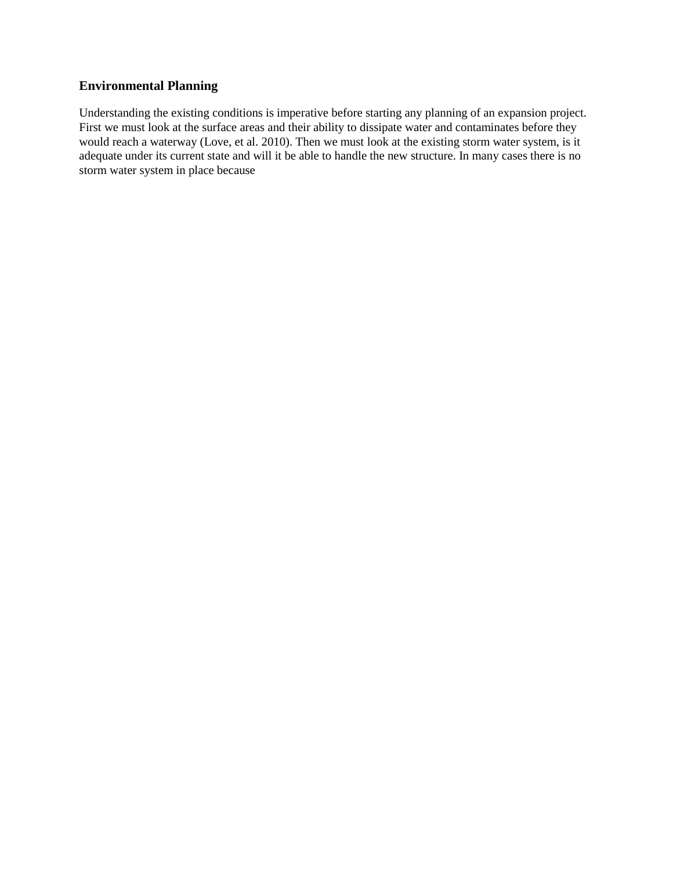## **Environmental Planning**

Understanding the existing conditions is imperative before starting any planning of an expansion project. First we must look at the surface areas and their ability to dissipate water and contaminates before they would reach a waterway (Love, et al. 2010). Then we must look at the existing storm water system, is it adequate under its current state and will it be able to handle the new structure. In many cases there is no storm water system in place because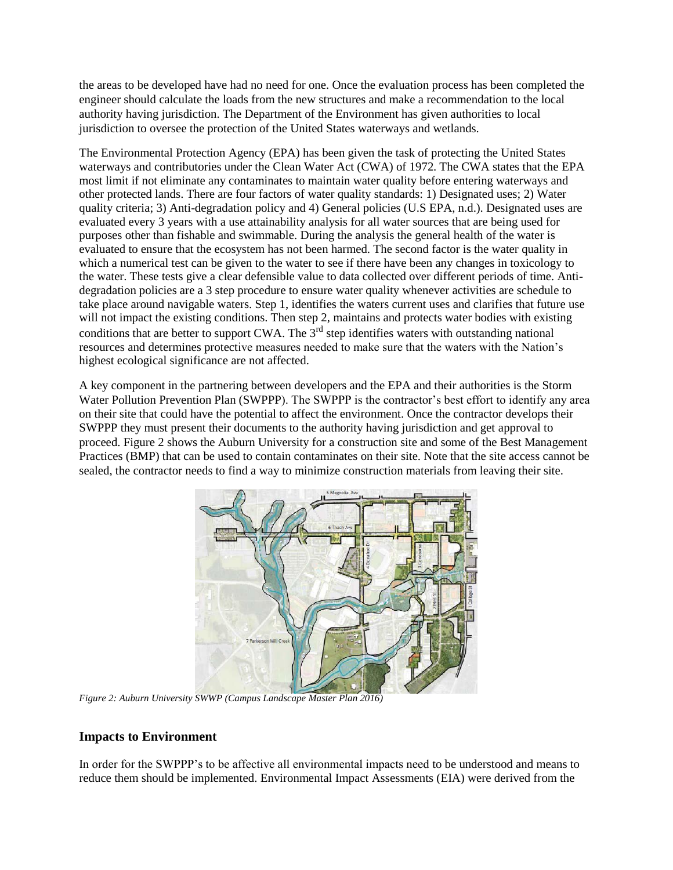the areas to be developed have had no need for one. Once the evaluation process has been completed the engineer should calculate the loads from the new structures and make a recommendation to the local authority having jurisdiction. The Department of the Environment has given authorities to local jurisdiction to oversee the protection of the United States waterways and wetlands.

The Environmental Protection Agency (EPA) has been given the task of protecting the United States waterways and contributories under the Clean Water Act (CWA) of 1972. The CWA states that the EPA most limit if not eliminate any contaminates to maintain water quality before entering waterways and other protected lands. There are four factors of water quality standards: 1) Designated uses; 2) Water quality criteria; 3) Anti-degradation policy and 4) General policies (U.S EPA, n.d.). Designated uses are evaluated every 3 years with a use attainability analysis for all water sources that are being used for purposes other than fishable and swimmable. During the analysis the general health of the water is evaluated to ensure that the ecosystem has not been harmed. The second factor is the water quality in which a numerical test can be given to the water to see if there have been any changes in toxicology to the water. These tests give a clear defensible value to data collected over different periods of time. Antidegradation policies are a 3 step procedure to ensure water quality whenever activities are schedule to take place around navigable waters. Step 1, identifies the waters current uses and clarifies that future use will not impact the existing conditions. Then step 2, maintains and protects water bodies with existing conditions that are better to support CWA. The  $3<sup>rd</sup>$  step identifies waters with outstanding national resources and determines protective measures needed to make sure that the waters with the Nation's highest ecological significance are not affected.

A key component in the partnering between developers and the EPA and their authorities is the Storm Water Pollution Prevention Plan (SWPPP). The SWPPP is the contractor's best effort to identify any area on their site that could have the potential to affect the environment. Once the contractor develops their SWPPP they must present their documents to the authority having jurisdiction and get approval to proceed. Figure 2 shows the Auburn University for a construction site and some of the Best Management Practices (BMP) that can be used to contain contaminates on their site. Note that the site access cannot be sealed, the contractor needs to find a way to minimize construction materials from leaving their site.



*Figure 2: Auburn University SWWP (Campus Landscape Master Plan 2016)*

# **Impacts to Environment**

In order for the SWPPP's to be affective all environmental impacts need to be understood and means to reduce them should be implemented. Environmental Impact Assessments (EIA) were derived from the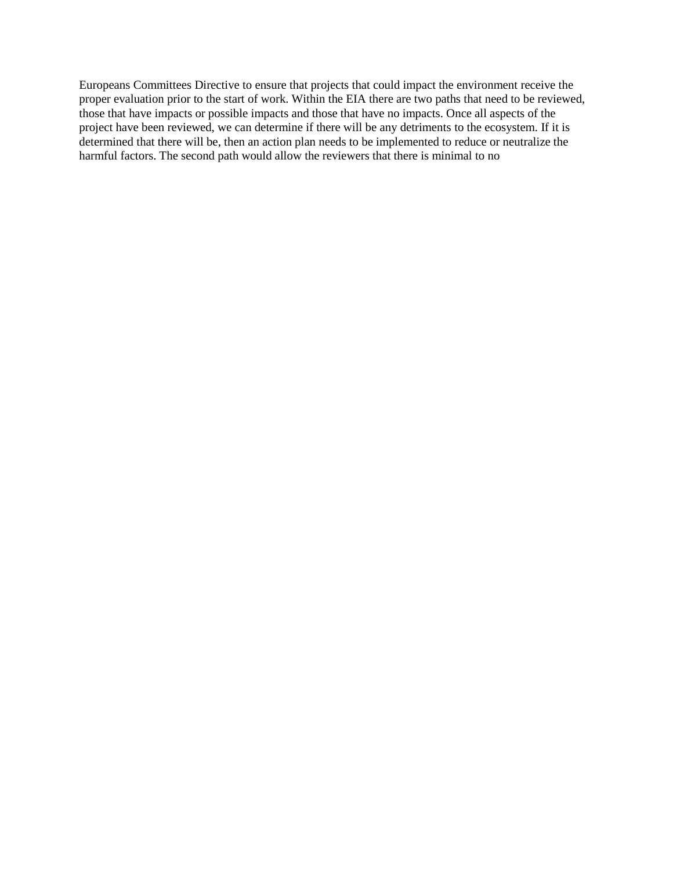Europeans Committees Directive to ensure that projects that could impact the environment receive the proper evaluation prior to the start of work. Within the EIA there are two paths that need to be reviewed, those that have impacts or possible impacts and those that have no impacts. Once all aspects of the project have been reviewed, we can determine if there will be any detriments to the ecosystem. If it is determined that there will be, then an action plan needs to be implemented to reduce or neutralize the harmful factors. The second path would allow the reviewers that there is minimal to no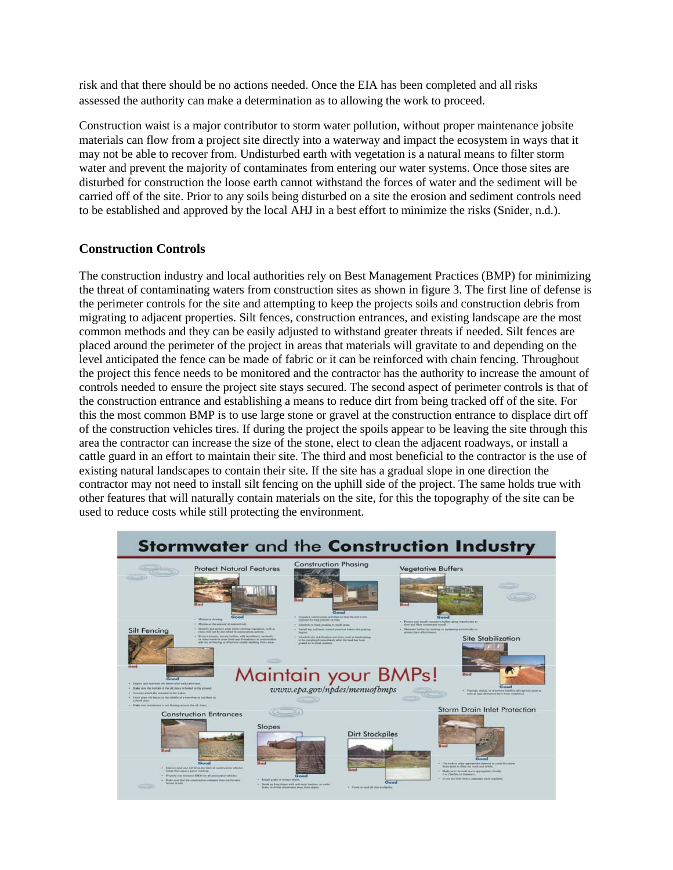risk and that there should be no actions needed. Once the EIA has been completed and all risks assessed the authority can make a determination as to allowing the work to proceed.

Construction waist is a major contributor to storm water pollution, without proper maintenance jobsite materials can flow from a project site directly into a waterway and impact the ecosystem in ways that it may not be able to recover from. Undisturbed earth with vegetation is a natural means to filter storm water and prevent the majority of contaminates from entering our water systems. Once those sites are disturbed for construction the loose earth cannot withstand the forces of water and the sediment will be carried off of the site. Prior to any soils being disturbed on a site the erosion and sediment controls need to be established and approved by the local AHJ in a best effort to minimize the risks (Snider, n.d.).

## **Construction Controls**

The construction industry and local authorities rely on Best Management Practices (BMP) for minimizing the threat of contaminating waters from construction sites as shown in figure 3. The first line of defense is the perimeter controls for the site and attempting to keep the projects soils and construction debris from migrating to adjacent properties. Silt fences, construction entrances, and existing landscape are the most common methods and they can be easily adjusted to withstand greater threats if needed. Silt fences are placed around the perimeter of the project in areas that materials will gravitate to and depending on the level anticipated the fence can be made of fabric or it can be reinforced with chain fencing. Throughout the project this fence needs to be monitored and the contractor has the authority to increase the amount of controls needed to ensure the project site stays secured. The second aspect of perimeter controls is that of the construction entrance and establishing a means to reduce dirt from being tracked off of the site. For this the most common BMP is to use large stone or gravel at the construction entrance to displace dirt off of the construction vehicles tires. If during the project the spoils appear to be leaving the site through this area the contractor can increase the size of the stone, elect to clean the adjacent roadways, or install a cattle guard in an effort to maintain their site. The third and most beneficial to the contractor is the use of existing natural landscapes to contain their site. If the site has a gradual slope in one direction the contractor may not need to install silt fencing on the uphill side of the project. The same holds true with other features that will naturally contain materials on the site, for this the topography of the site can be used to reduce costs while still protecting the environment.

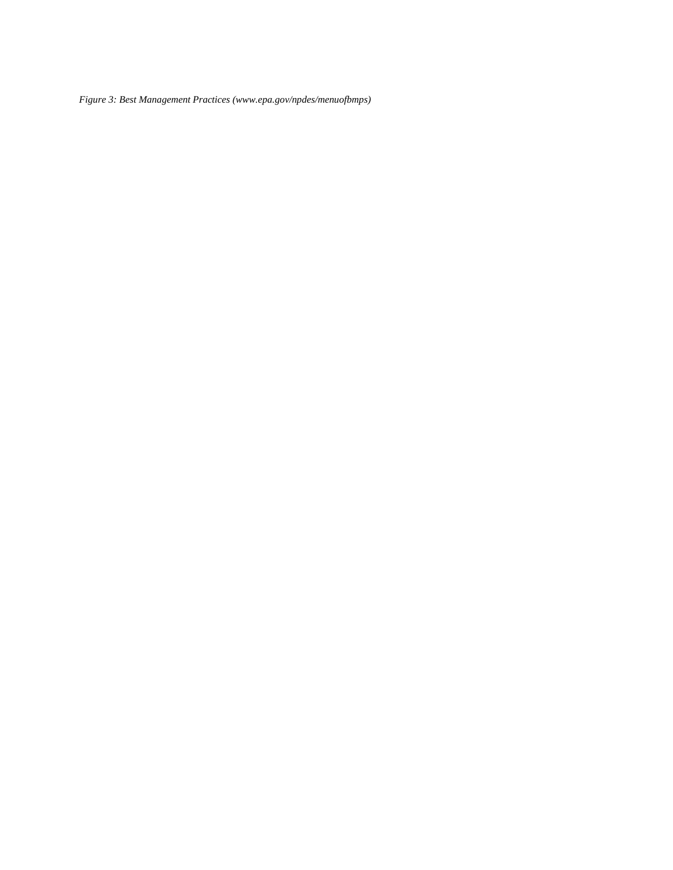*Figure 3: Best Management Practices (www.epa.gov/npdes/menuofbmps)*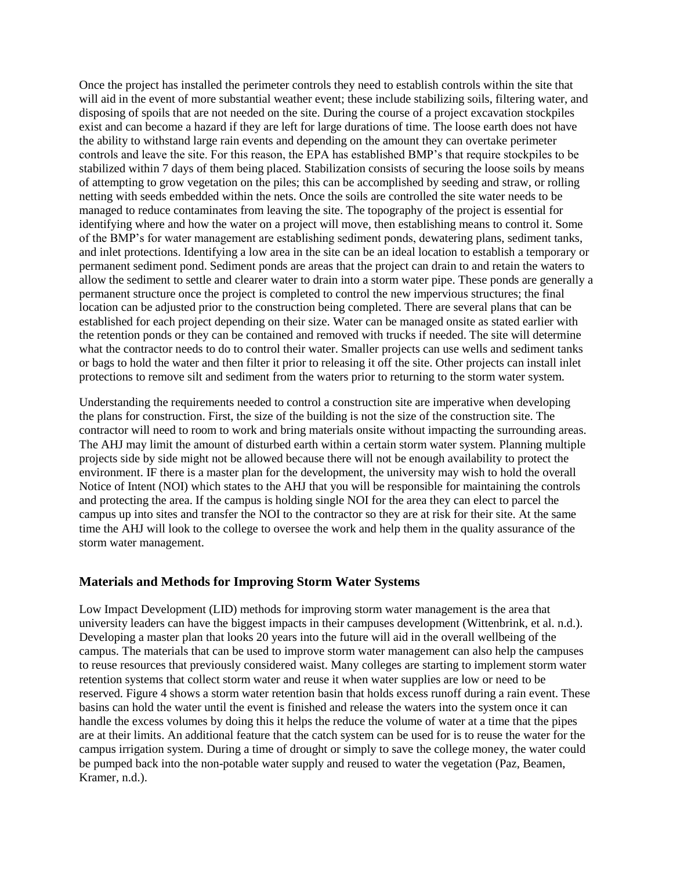Once the project has installed the perimeter controls they need to establish controls within the site that will aid in the event of more substantial weather event; these include stabilizing soils, filtering water, and disposing of spoils that are not needed on the site. During the course of a project excavation stockpiles exist and can become a hazard if they are left for large durations of time. The loose earth does not have the ability to withstand large rain events and depending on the amount they can overtake perimeter controls and leave the site. For this reason, the EPA has established BMP's that require stockpiles to be stabilized within 7 days of them being placed. Stabilization consists of securing the loose soils by means of attempting to grow vegetation on the piles; this can be accomplished by seeding and straw, or rolling netting with seeds embedded within the nets. Once the soils are controlled the site water needs to be managed to reduce contaminates from leaving the site. The topography of the project is essential for identifying where and how the water on a project will move, then establishing means to control it. Some of the BMP's for water management are establishing sediment ponds, dewatering plans, sediment tanks, and inlet protections. Identifying a low area in the site can be an ideal location to establish a temporary or permanent sediment pond. Sediment ponds are areas that the project can drain to and retain the waters to allow the sediment to settle and clearer water to drain into a storm water pipe. These ponds are generally a permanent structure once the project is completed to control the new impervious structures; the final location can be adjusted prior to the construction being completed. There are several plans that can be established for each project depending on their size. Water can be managed onsite as stated earlier with the retention ponds or they can be contained and removed with trucks if needed. The site will determine what the contractor needs to do to control their water. Smaller projects can use wells and sediment tanks or bags to hold the water and then filter it prior to releasing it off the site. Other projects can install inlet protections to remove silt and sediment from the waters prior to returning to the storm water system.

Understanding the requirements needed to control a construction site are imperative when developing the plans for construction. First, the size of the building is not the size of the construction site. The contractor will need to room to work and bring materials onsite without impacting the surrounding areas. The AHJ may limit the amount of disturbed earth within a certain storm water system. Planning multiple projects side by side might not be allowed because there will not be enough availability to protect the environment. IF there is a master plan for the development, the university may wish to hold the overall Notice of Intent (NOI) which states to the AHJ that you will be responsible for maintaining the controls and protecting the area. If the campus is holding single NOI for the area they can elect to parcel the campus up into sites and transfer the NOI to the contractor so they are at risk for their site. At the same time the AHJ will look to the college to oversee the work and help them in the quality assurance of the storm water management.

### **Materials and Methods for Improving Storm Water Systems**

Low Impact Development (LID) methods for improving storm water management is the area that university leaders can have the biggest impacts in their campuses development (Wittenbrink, et al. n.d.). Developing a master plan that looks 20 years into the future will aid in the overall wellbeing of the campus. The materials that can be used to improve storm water management can also help the campuses to reuse resources that previously considered waist. Many colleges are starting to implement storm water retention systems that collect storm water and reuse it when water supplies are low or need to be reserved. Figure 4 shows a storm water retention basin that holds excess runoff during a rain event. These basins can hold the water until the event is finished and release the waters into the system once it can handle the excess volumes by doing this it helps the reduce the volume of water at a time that the pipes are at their limits. An additional feature that the catch system can be used for is to reuse the water for the campus irrigation system. During a time of drought or simply to save the college money, the water could be pumped back into the non-potable water supply and reused to water the vegetation (Paz, Beamen, Kramer, n.d.).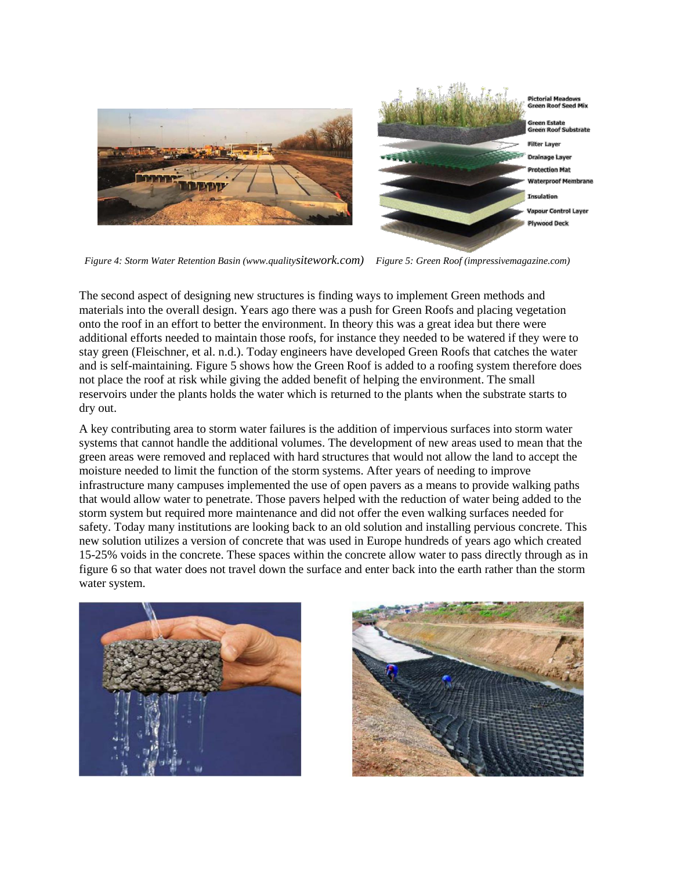

*Figure 4: Storm Water Retention Basin (www.qualitysitework.com) Figure 5: Green Roof (impressivemagazine.com)*

The second aspect of designing new structures is finding ways to implement Green methods and materials into the overall design. Years ago there was a push for Green Roofs and placing vegetation onto the roof in an effort to better the environment. In theory this was a great idea but there were additional efforts needed to maintain those roofs, for instance they needed to be watered if they were to stay green (Fleischner, et al. n.d.). Today engineers have developed Green Roofs that catches the water and is self-maintaining. Figure 5 shows how the Green Roof is added to a roofing system therefore does not place the roof at risk while giving the added benefit of helping the environment. The small reservoirs under the plants holds the water which is returned to the plants when the substrate starts to dry out.

A key contributing area to storm water failures is the addition of impervious surfaces into storm water systems that cannot handle the additional volumes. The development of new areas used to mean that the green areas were removed and replaced with hard structures that would not allow the land to accept the moisture needed to limit the function of the storm systems. After years of needing to improve infrastructure many campuses implemented the use of open pavers as a means to provide walking paths that would allow water to penetrate. Those pavers helped with the reduction of water being added to the storm system but required more maintenance and did not offer the even walking surfaces needed for safety. Today many institutions are looking back to an old solution and installing pervious concrete. This new solution utilizes a version of concrete that was used in Europe hundreds of years ago which created 15-25% voids in the concrete. These spaces within the concrete allow water to pass directly through as in figure 6 so that water does not travel down the surface and enter back into the earth rather than the storm water system.



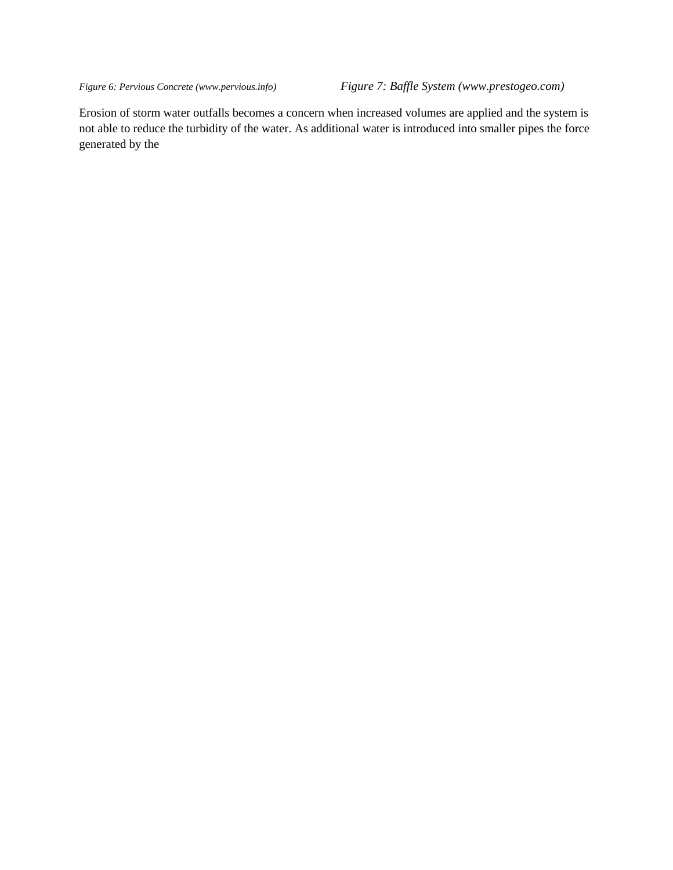*Figure 6: Pervious Concrete (www.pervious.info) Figure 7: Baffle System (www.prestogeo.com)*

Erosion of storm water outfalls becomes a concern when increased volumes are applied and the system is not able to reduce the turbidity of the water. As additional water is introduced into smaller pipes the force generated by the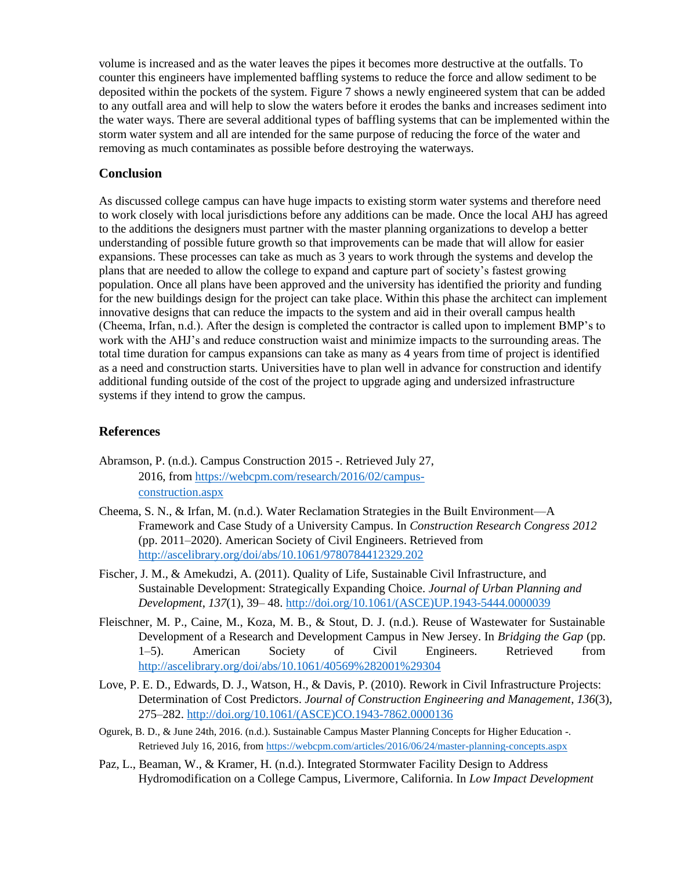volume is increased and as the water leaves the pipes it becomes more destructive at the outfalls. To counter this engineers have implemented baffling systems to reduce the force and allow sediment to be deposited within the pockets of the system. Figure 7 shows a newly engineered system that can be added to any outfall area and will help to slow the waters before it erodes the banks and increases sediment into the water ways. There are several additional types of baffling systems that can be implemented within the storm water system and all are intended for the same purpose of reducing the force of the water and removing as much contaminates as possible before destroying the waterways.

### **Conclusion**

As discussed college campus can have huge impacts to existing storm water systems and therefore need to work closely with local jurisdictions before any additions can be made. Once the local AHJ has agreed to the additions the designers must partner with the master planning organizations to develop a better understanding of possible future growth so that improvements can be made that will allow for easier expansions. These processes can take as much as 3 years to work through the systems and develop the plans that are needed to allow the college to expand and capture part of society's fastest growing population. Once all plans have been approved and the university has identified the priority and funding for the new buildings design for the project can take place. Within this phase the architect can implement innovative designs that can reduce the impacts to the system and aid in their overall campus health (Cheema, Irfan, n.d.). After the design is completed the contractor is called upon to implement BMP's to work with the AHJ's and reduce construction waist and minimize impacts to the surrounding areas. The total time duration for campus expansions can take as many as 4 years from time of project is identified as a need and construction starts. Universities have to plan well in advance for construction and identify additional funding outside of the cost of the project to upgrade aging and undersized infrastructure systems if they intend to grow the campus.

#### **References**

- Abramson, P. (n.d.). Campus Construction 2015 -. Retrieved July 27, 2016, from https://webcpm.com/research/2016/02/campusconstruction.aspx
- Cheema, S. N., & Irfan, M. (n.d.). Water Reclamation Strategies in the Built Environment—A Framework and Case Study of a University Campus. In *Construction Research Congress 2012* (pp. 2011–2020). American Society of Civil Engineers. Retrieved from http://ascelibrary.org/doi/abs/10.1061/9780784412329.202
- Fischer, J. M., & Amekudzi, A. (2011). Quality of Life, Sustainable Civil Infrastructure, and Sustainable Development: Strategically Expanding Choice. *Journal of Urban Planning and Development*, *137*(1), 39– 48. http://doi.org/10.1061/(ASCE)UP.1943-5444.0000039
- Fleischner, M. P., Caine, M., Koza, M. B., & Stout, D. J. (n.d.). Reuse of Wastewater for Sustainable Development of a Research and Development Campus in New Jersey. In *Bridging the Gap* (pp. 1–5). American Society of Civil Engineers. Retrieved from http://ascelibrary.org/doi/abs/10.1061/40569%282001%29304
- Love, P. E. D., Edwards, D. J., Watson, H., & Davis, P. (2010). Rework in Civil Infrastructure Projects: Determination of Cost Predictors. *Journal of Construction Engineering and Management*, *136*(3), 275–282. http://doi.org/10.1061/(ASCE)CO.1943-7862.0000136
- Ogurek, B. D., & June 24th, 2016. (n.d.). Sustainable Campus Master Planning Concepts for Higher Education -. Retrieved July 16, 2016, from https://webcpm.com/articles/2016/06/24/master-planning-concepts.aspx
- Paz, L., Beaman, W., & Kramer, H. (n.d.). Integrated Stormwater Facility Design to Address Hydromodification on a College Campus, Livermore, California. In *Low Impact Development*